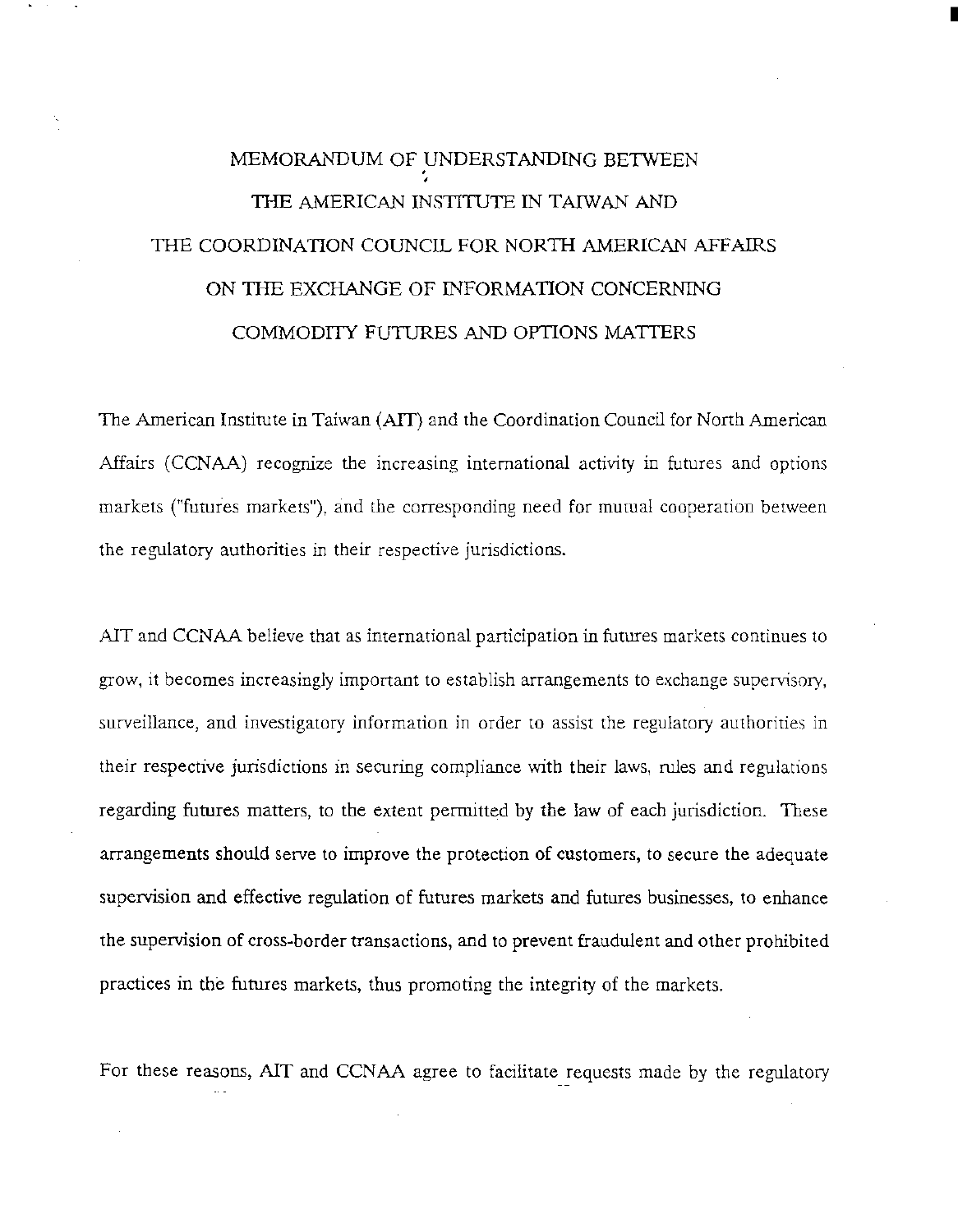## MEMORANDUM OF UNDERSTANDING BETWEEN . • THE AMERICAN INSTITUTE IN TAIWAN AND THE COORDINATION COUNCIL FOR NORTH AMERICAN AFFAIRS ON THE EXCHANGE OF INFORMATION CONCERNING COMMODITY FUTURES AND OPTIONS MATTERS

I

The American Institute in Taiwan (AIT) and the Coordination Council for North American Affairs (CCNAA) recognize the increasing international activity in futures and options markets ("futures markets"), and the corresponding need for mutual cooperation between the regulatory authorities in their respective jurisdictions.

AlT and CCNAA believe that as international participation in futures markets continues to grow, it becomes increasingly important to establish arrangements to exchange supervisory, surveillance, and investigatory information in order to assist the regulatory authorities in their respective jurisdictions in securing compliance with their laws, rules and regulations regarding futures matters, to the extent permitted by the law of each jurisdiction. These arrangements should serve to improve the protection of customers, to secure the adequate supervision and effective regulation of futures markets and futures businesses, to enhance the supervision of cross-border transactions, and to prevent fraudulent and other prohibited practices in the futures markets, thus promoting the integrity of the markets.

For these reasons, AIT and CCNAA agree to facilitate requests made by the regulatory